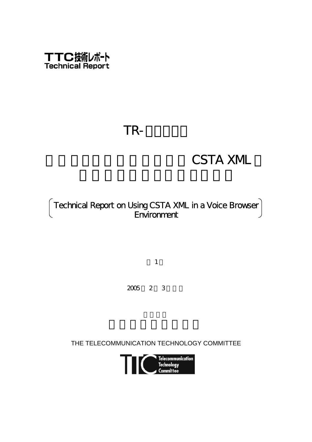

# TR-

# **CSTA XML**

## Technical Report on Using CSTA XML in a Voice Browser **Environment**

第1版

2005 2 3

THE TELECOMMUNICATION TECHNOLOGY COMMITTEE

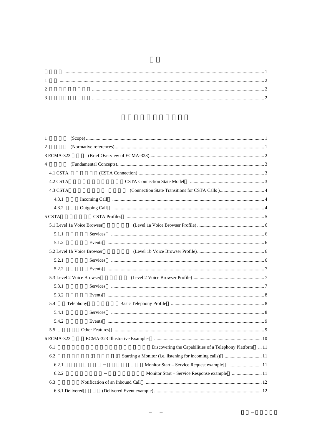| $\mathbf{1}$    |                                 |                                                                                                                |  |
|-----------------|---------------------------------|----------------------------------------------------------------------------------------------------------------|--|
| 2               |                                 |                                                                                                                |  |
| 3 ECMA-323      |                                 |                                                                                                                |  |
| $\overline{4}$  |                                 |                                                                                                                |  |
| 4.1 CSTA        |                                 |                                                                                                                |  |
| 4.2 CSTA        |                                 | CSTA Connection State Model municipally manufactured and 3                                                     |  |
| 4.3 CSTA        |                                 |                                                                                                                |  |
| 4.3.1           |                                 |                                                                                                                |  |
| 4.3.2           | Outgoing Call                   |                                                                                                                |  |
| 5 CSTA          |                                 | CSTA Profiles (and all and all and all and all and all and all and all and all and all and all and all and all |  |
|                 | 5.1 Level 1a Voice Browser      |                                                                                                                |  |
| 5.1.1           | <b>Services</b>                 |                                                                                                                |  |
| 5.1.2           | Events                          |                                                                                                                |  |
|                 | 5.2 Level 1b Voice Browser      |                                                                                                                |  |
| 5.2.1           |                                 |                                                                                                                |  |
| 5.2.2           | Events                          |                                                                                                                |  |
|                 | 5.3 Level 2 Voice Browser       |                                                                                                                |  |
| 5.3.1           |                                 |                                                                                                                |  |
| 5.3.2           | Events                          |                                                                                                                |  |
| 5.4             | Telephony                       |                                                                                                                |  |
| 5.4.1           |                                 |                                                                                                                |  |
| 5.4.2           | Events                          |                                                                                                                |  |
| 5.5             | <b>Other Features</b>           |                                                                                                                |  |
| 6 ECMA-323      |                                 |                                                                                                                |  |
| 6.1             |                                 | Discovering the Capabilities of a Telephony Platform  11                                                       |  |
| 6.2             | €                               | $\lambda$                                                                                                      |  |
| 6.2.1           |                                 |                                                                                                                |  |
| 6.2.2           |                                 |                                                                                                                |  |
| 6.3             | Notification of an Inbound Call |                                                                                                                |  |
| 6.3.1 Delivered |                                 |                                                                                                                |  |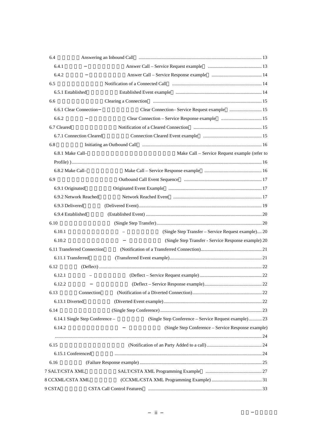| 6.4                         |                                                                                          |  |
|-----------------------------|------------------------------------------------------------------------------------------|--|
| 6.4.1                       |                                                                                          |  |
| 6.4.2                       |                                                                                          |  |
| 6.5                         |                                                                                          |  |
| 6.5.1 Established           |                                                                                          |  |
| 6.6                         |                                                                                          |  |
| 6.6.1 Clear Connection      |                                                                                          |  |
| 6.6.2                       |                                                                                          |  |
| 6.7 Cleared                 |                                                                                          |  |
| 6.7.1 Connection Cleared    |                                                                                          |  |
| 6.8                         |                                                                                          |  |
| 6.8.1 Make Call-            | Make Call – Service Request example (refer to                                            |  |
|                             |                                                                                          |  |
| 6.8.2 Make Call-            |                                                                                          |  |
| 6.9                         |                                                                                          |  |
| 6.9.1 Originated            |                                                                                          |  |
| 6.9.2 Network Reached       |                                                                                          |  |
| 6.9.3 Delivered             |                                                                                          |  |
| 6.9.4 Established           |                                                                                          |  |
| 6.10                        |                                                                                          |  |
| 6.10.1                      | (Single Step Transfer - Service Request example) 20                                      |  |
| 6.10.2                      | (Single Step Transfer - Service Response example) 20                                     |  |
| 6.11 Transferred Connection |                                                                                          |  |
| 6.11.1 Transferred          |                                                                                          |  |
| 6.12                        |                                                                                          |  |
| 6.12.1                      |                                                                                          |  |
| 6.12.2                      |                                                                                          |  |
| 6.13                        | Connection                                                                               |  |
| 6.13.1 Diverted             |                                                                                          |  |
| 6.14                        |                                                                                          |  |
|                             | (Single Step Conference - Service Request example) 23<br>6.14.1 Single Step Conference - |  |
| 6.14.2                      | (Single Step Conference – Service Response example)                                      |  |
|                             |                                                                                          |  |
| 6.15                        |                                                                                          |  |
| 6.15.1 Conferenced          |                                                                                          |  |
| 6.16                        |                                                                                          |  |
| 7 SALT/CSTA XML             |                                                                                          |  |
| 8 CCXML/CSTA XML            |                                                                                          |  |
| 9 CSTA                      | <b>CSTA Call Control Features</b>                                                        |  |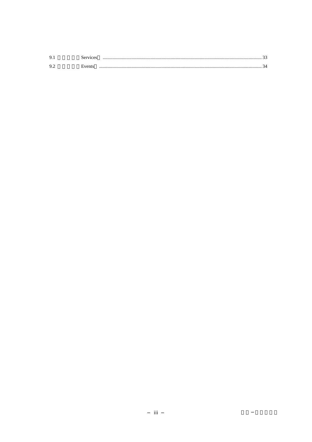| 9.      | Services |  |
|---------|----------|--|
| $Q \in$ | Events   |  |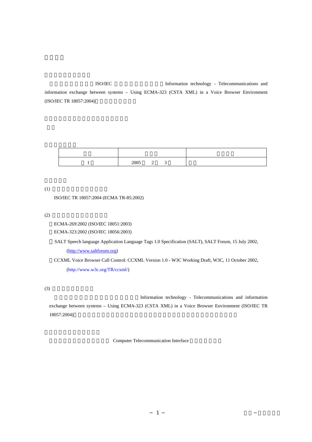<span id="page-5-0"></span>ISO/IEC Information technology - Telecommunications and information exchange between systems – Using ECMA-323 (CSTA XML) in a Voice Browser Environment (ISO/IEC TR 18057:2004)

| 2005 | - |  |
|------|---|--|

 $(1)$ 

ISO/IEC TR 18057:2004 (ECMA TR-85:2002)

 $(2)$ 

ECMA-269:2002 (ISO/IEC 18051:2003)

ECMA-323:2002 (ISO/IEC 18056:2003)

SALT Speech language Application Language Tags 1.0 Specification (SALT), SALT Forum, 15 July 2002, [\(http://www.saltforum.org](http://www.saltforum.org/))

 CCXML Voice Browser Call Control: CCXML Version 1.0 - W3C Working Draft, W3C, 11 October 2002, (http://www.w3c.org/TR/ccxml/)

 $(3)$ 

Information technology - Telecommunications and information exchange between systems – Using ECMA-323 (CSTA XML) in a Voice Browser Environment (ISO/IEC TR 18057:2004)

Computer Telecommunication Interface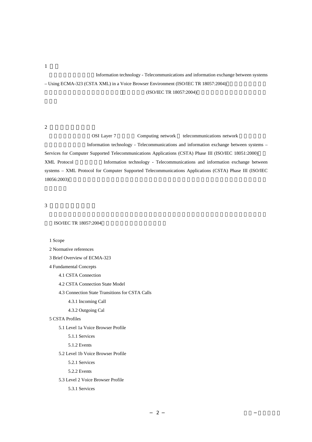Information technology - Telecommunications and information exchange between systems – Using ECMA-323 (CSTA XML) in a Voice Browser Environment (ISO/IEC TR  $18057:2004$ ) (ISO/IEC TR 18057:2004)

 $2$ 

<span id="page-6-0"></span> $\overline{1}$ 

**OSI Layer 7** Computing network telecommunications network Information technology - Telecommunications and information exchange between systems – Services for Computer Supported Telecommunications Applications (CSTA) Phase III (ISO/IEC 18051:2000) XML Protocol **Information technology - Telecommunications and information exchange between** systems - XML Protocol for Computer Supported Telecommunications Applications (CSTA) Phase III (ISO/IEC

 $3 \thinspace$ 

ISO/IEC TR 18057:2004

1 Scope

18056:2003)

#### 2 Normative references

3 Brief Overview of ECMA-323

4 Fundamental Concepts

4.1 CSTA Connection

4.2 CSTA Connection State Model

4.3 Connection State Transitions for CSTA Calls

4.3.1 Incoming Call

4.3.2 Outgoing Cal

#### 5 CSTA Profiles

5.1 Level 1a Voice Browser Profile

5.1.1 Services

5.1.2 Events

5.2 Level 1b Voice Browser Profile

5.2.1 Services

5.2.2 Events

5.3 Level 2 Voice Browser Profile

5.3.1 Services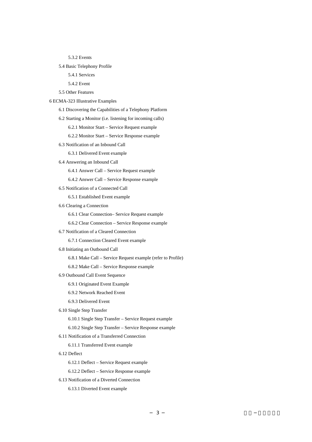5.3.2 Events

- 5.4 Basic Telephony Profile
	- 5.4.1 Services
	- 5.4.2 Event
- 5.5 Other Features
- 6 ECMA-323 Illustrative Examples
	- 6.1 Discovering the Capabilities of a Telephony Platform
	- 6.2 Starting a Monitor (i.e. listening for incoming calls)
		- 6.2.1 Monitor Start Service Request example
		- 6.2.2 Monitor Start Service Response example
	- 6.3 Notification of an Inbound Call
		- 6.3.1 Delivered Event example
	- 6.4 Answering an Inbound Call
		- 6.4.1 Answer Call Service Request example
		- 6.4.2 Answer Call Service Response example
	- 6.5 Notification of a Connected Call
		- 6.5.1 Established Event example
	- 6.6 Clearing a Connection
		- 6.6.1 Clear Connection– Service Request example
		- 6.6.2 Clear Connection Service Response example
	- 6.7 Notification of a Cleared Connection
		- 6.7.1 Connection Cleared Event example
	- 6.8 Initiating an Outbound Call
		- 6.8.1 Make Call Service Request example (refer to Profile)
		- 6.8.2 Make Call Service Response example
	- 6.9 Outbound Call Event Sequence
		- 6.9.1 Originated Event Example
		- 6.9.2 Network Reached Event
		- 6.9.3 Delivered Event
	- 6.10 Single Step Transfer
		- 6.10.1 Single Step Transfer Service Request example
		- 6.10.2 Single Step Transfer Service Response example
	- 6.11 Notification of a Transferred Connection
		- 6.11.1 Transferred Event example
	- 6.12 Deflect
		- 6.12.1 Deflect Service Request example
		- 6.12.2 Deflect Service Response example
	- 6.13 Notification of a Diverted Connection
		- 6.13.1 Diverted Event example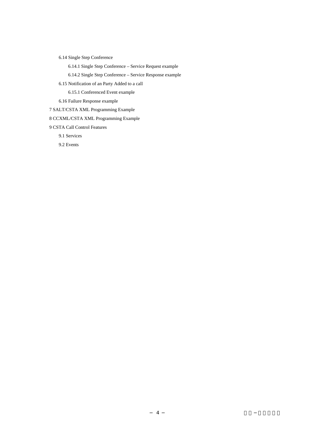6.14 Single Step Conference

6.14.1 Single Step Conference – Service Request example

6.14.2 Single Step Conference – Service Response example

6.15 Notification of an Party Added to a call

6.15.1 Conferenced Event example

6.16 Failure Response example

7 SALT/CSTA XML Programming Example

8 CCXML/CSTA XML Programming Example

9 CSTA Call Control Features

9.1 Services

9.2 Events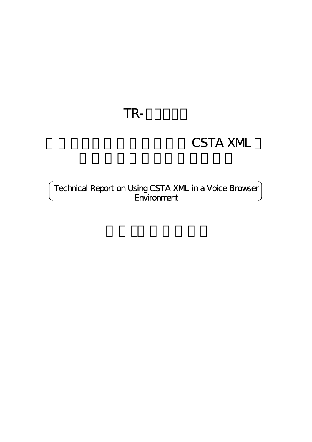# TR-

# **CSTA XML**

Technical Report on Using CSTA XML in a Voice Browser **Environment**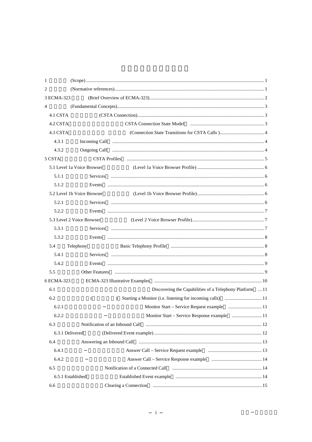| 1              |                            |                                                                                                         |  |
|----------------|----------------------------|---------------------------------------------------------------------------------------------------------|--|
| 2              |                            |                                                                                                         |  |
| 3 ECMA-323     |                            |                                                                                                         |  |
| $\overline{4}$ |                            |                                                                                                         |  |
| 4.1 CSTA       |                            |                                                                                                         |  |
| 4.2 CSTA       |                            |                                                                                                         |  |
| 4.3 CSTA       |                            |                                                                                                         |  |
| 4.3.1          |                            |                                                                                                         |  |
| 4.3.2          |                            |                                                                                                         |  |
| 5 CSTA         |                            |                                                                                                         |  |
|                | 5.1 Level 1a Voice Browser |                                                                                                         |  |
| 5.1.1          |                            |                                                                                                         |  |
| 5.1.2          |                            |                                                                                                         |  |
|                | 5.2 Level 1b Voice Browser |                                                                                                         |  |
| 5.2.1          |                            |                                                                                                         |  |
| 5.2.2          |                            |                                                                                                         |  |
|                | 5.3 Level 2 Voice Browser  |                                                                                                         |  |
| 5.3.1          |                            |                                                                                                         |  |
| 5.3.2          |                            |                                                                                                         |  |
| 5.4            | Telephony                  |                                                                                                         |  |
| 5.4.1          |                            |                                                                                                         |  |
| 5.4.2          |                            |                                                                                                         |  |
| 5.5            |                            | Other Features ( <i>manual communication communication communication communication communication</i> 9) |  |
| 6 ECMA-323     |                            |                                                                                                         |  |
| 6.1            |                            | Discovering the Capabilities of a Telephony Platform  11                                                |  |
| 6.2            | €                          | $\mathcal{L}$                                                                                           |  |
| 6.2.1          |                            |                                                                                                         |  |
| 6.2.2          |                            |                                                                                                         |  |
| 6.3            |                            |                                                                                                         |  |
|                | 6.3.1 Delivered            |                                                                                                         |  |
| 6.4            |                            |                                                                                                         |  |
| 6.4.1          |                            |                                                                                                         |  |
| 6.4.2          |                            |                                                                                                         |  |
| 6.5            |                            |                                                                                                         |  |
|                | 6.5.1 Established          |                                                                                                         |  |
| 6.6            |                            |                                                                                                         |  |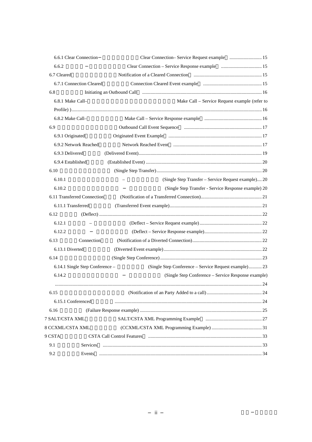|                   | 6.6.1 Clear Connection          |                                                       |  |
|-------------------|---------------------------------|-------------------------------------------------------|--|
| 6.6.2             |                                 |                                                       |  |
| 6.7 Cleared       |                                 |                                                       |  |
|                   | 6.7.1 Connection Cleared        |                                                       |  |
| 6.8               |                                 |                                                       |  |
| 6.8.1 Make Call-  |                                 | Make Call – Service Request example (refer to         |  |
|                   |                                 |                                                       |  |
| 6.8.2 Make Call-  |                                 |                                                       |  |
| 6.9               |                                 |                                                       |  |
| 6.9.1 Originated  |                                 |                                                       |  |
|                   | 6.9.2 Network Reached           |                                                       |  |
| 6.9.3 Delivered   |                                 |                                                       |  |
| 6.9.4 Established |                                 |                                                       |  |
| 6.10              |                                 |                                                       |  |
| 6.10.1            |                                 | (Single Step Transfer - Service Request example) 20   |  |
| 6.10.2            |                                 | (Single Step Transfer - Service Response example) 20  |  |
|                   | 6.11 Transferred Connection     |                                                       |  |
|                   | 6.11.1 Transferred              |                                                       |  |
| 6.12              |                                 |                                                       |  |
| 6.12.1            |                                 |                                                       |  |
| 6.12.2            |                                 |                                                       |  |
| 6.13              | Connection                      |                                                       |  |
| 6.13.1 Diverted   |                                 |                                                       |  |
| 6.14              |                                 |                                                       |  |
|                   | 6.14.1 Single Step Conference - | (Single Step Conference – Service Request example) 23 |  |
| 6.14.2            |                                 | (Single Step Conference – Service Response example)   |  |
|                   |                                 |                                                       |  |
| 6.15              |                                 |                                                       |  |
|                   | 6.15.1 Conferenced              |                                                       |  |
| 6.16              |                                 |                                                       |  |
| 7 SALT/CSTA XML   |                                 |                                                       |  |
| 8 CCXML/CSTA XML  |                                 |                                                       |  |
| 9 CSTA            |                                 | <b>CSTA Call Control Features</b>                     |  |
| 9.1               | Services                        |                                                       |  |
| 9.2               |                                 |                                                       |  |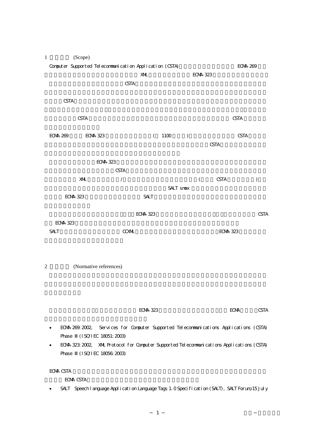<span id="page-12-0"></span>

| $\mathbf{1}$     | (Scope)         |                                                                            |                 |           |               |                 |                 |                 |               |
|------------------|-----------------|----------------------------------------------------------------------------|-----------------|-----------|---------------|-----------------|-----------------|-----------------|---------------|
|                  |                 | Computer Supported Telecommunication Application (CSTA)                    |                 |           |               |                 |                 | <b>ECMA 269</b> |               |
|                  |                 |                                                                            | XML             |           |               | <b>ECMA 323</b> |                 |                 |               |
|                  |                 | <b>CSTA</b>                                                                |                 |           |               |                 |                 |                 |               |
|                  |                 |                                                                            |                 |           |               |                 |                 |                 |               |
|                  | <b>CSTA</b>     |                                                                            |                 |           |               |                 |                 |                 |               |
|                  |                 |                                                                            |                 |           |               |                 |                 |                 |               |
|                  | <b>CSTA</b>     |                                                                            |                 |           |               |                 |                 | <b>CSTA</b>     |               |
|                  |                 |                                                                            |                 |           |               |                 |                 |                 |               |
| ECM 269          | ECM 323         |                                                                            | $\left($        | 1100      | $\mathcal{E}$ |                 |                 | <b>CSTA</b>     |               |
|                  |                 |                                                                            |                 |           |               |                 | <b>CSTA</b>     |                 |               |
|                  |                 |                                                                            |                 |           |               |                 |                 |                 |               |
|                  |                 | <b>ECMA 323</b>                                                            |                 |           |               |                 |                 |                 |               |
|                  |                 | <b>CSTA</b>                                                                |                 |           |               |                 |                 |                 |               |
|                  | XML             | $\overline{\phantom{a}}$                                                   |                 |           |               | $\overline{(}$  | <b>CSTA</b>     |                 | $\mathcal{E}$ |
|                  |                 |                                                                            |                 | SALT snex |               |                 |                 |                 |               |
|                  | <b>ECMA 323</b> |                                                                            | <b>SALT</b>     |           |               |                 |                 |                 |               |
|                  |                 |                                                                            |                 |           |               |                 |                 |                 |               |
|                  |                 |                                                                            | <b>ECMA 323</b> |           |               |                 |                 |                 | <b>CSTA</b>   |
|                  | <b>ECMA 323</b> |                                                                            |                 |           |               |                 |                 |                 |               |
| <b>SALT</b>      |                 | <b>CCXML</b>                                                               |                 |           |               |                 | <b>ECMA 323</b> |                 |               |
|                  |                 |                                                                            |                 |           |               |                 |                 |                 |               |
|                  |                 |                                                                            |                 |           |               |                 |                 |                 |               |
| $\overline{c}$   |                 | (Normative references)                                                     |                 |           |               |                 |                 |                 |               |
|                  |                 |                                                                            |                 |           |               |                 |                 |                 |               |
|                  |                 |                                                                            |                 |           |               |                 |                 |                 |               |
|                  |                 |                                                                            |                 |           |               |                 |                 |                 |               |
|                  |                 |                                                                            |                 |           |               |                 |                 |                 |               |
|                  |                 |                                                                            | <b>ECMA 323</b> |           |               |                 |                 | <b>ECMA</b>     | <b>CSTA</b>   |
|                  |                 |                                                                            |                 |           |               |                 |                 |                 |               |
|                  | ECM 269. 2002,  | Services for Computer Supported Telecommunications Applications (CSTA)     |                 |           |               |                 |                 |                 |               |
|                  | Phase           | (ISO'IEC 18051: 2003)                                                      |                 |           |               |                 |                 |                 |               |
|                  | ECM 323 2002,   | XML Protocol for Computer Supported Telecommunications Applications (CSTA) |                 |           |               |                 |                 |                 |               |
|                  | Phase           | (ISOYIEC 18056: 2003)                                                      |                 |           |               |                 |                 |                 |               |
|                  |                 |                                                                            |                 |           |               |                 |                 |                 |               |
| <b>ECMA CSTA</b> |                 |                                                                            |                 |           |               |                 |                 |                 |               |

ECMA CSTA

• SALT Speech language Application Language Tags 1. 0 Specification (SALT), SALT Forum, 15 July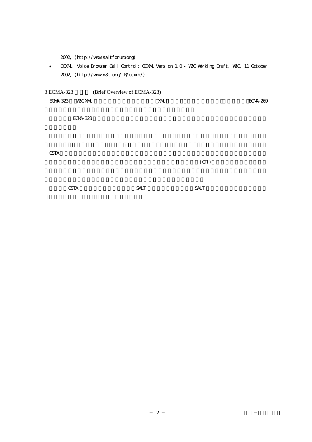|  | 2002, (http://www.saltforum.org) |
|--|----------------------------------|
|--|----------------------------------|

<span id="page-13-0"></span>• CCXML Voice Browser Call Control: CCXML Version 1.0 - W3C Working Draft, W3C, 11 October 2002, (http://www.w3c.org/TR/ccxml/)

3 ECMA-323 (Brief Overview of ECMA-323) ECMA-323 W3C XML XML XML 269  $ECAA-323$  $CSTA$  $\text{C}(\text{C}(\text{I})$ 

| <b>CSTA</b> | SALT | <b>SALT</b> |  |
|-------------|------|-------------|--|
|             |      |             |  |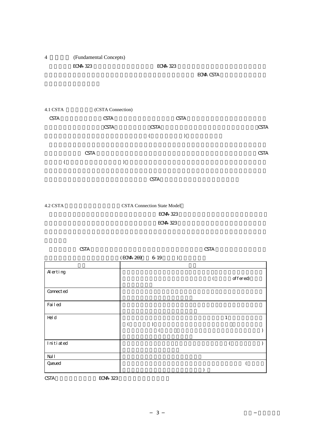<span id="page-14-0"></span>

|                         | <b>CSTA</b>     |                 |  | <b>CSTA</b> |              |  |
|-------------------------|-----------------|-----------------|--|-------------|--------------|--|
|                         |                 | (ECMA-269 6-19) |  |             |              |  |
| $\boldsymbol{A}$ erting |                 |                 |  |             |              |  |
|                         |                 |                 |  |             | offered)     |  |
| Connect ed              |                 |                 |  |             |              |  |
| Failed                  |                 |                 |  |             |              |  |
| Hel d                   |                 |                 |  |             | $\mathbf{1}$ |  |
|                         |                 |                 |  |             |              |  |
| Initiated               |                 |                 |  |             |              |  |
| $\rm{Nd}$ l             |                 |                 |  |             |              |  |
| Queued                  |                 |                 |  |             |              |  |
| <b>CSTA</b>             | <b>ECMA 323</b> |                 |  |             |              |  |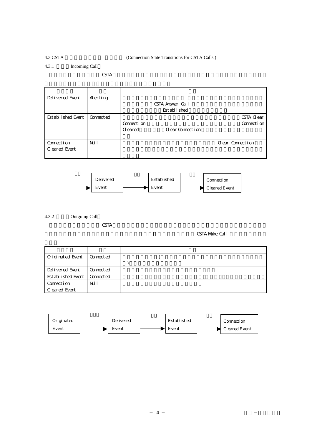#### <span id="page-15-0"></span>4.3 CSTA (Connection State Transitions for CSTA Calls )

4.3.1 Incoming Call

 $CSTA$ 

| Del i vered Event     | Alerting   |                |                  |                  |
|-----------------------|------------|----------------|------------------|------------------|
|                       |            |                | CSTA Answer Call |                  |
|                       |            |                | Est abl i shed   |                  |
| Est abl i shed Event  | Connect ed |                |                  | CSTA Clear       |
|                       |            | Connect i on   |                  | Connection       |
|                       |            | <b>C</b> eared | Clear Connection |                  |
|                       |            |                |                  |                  |
| Connection            | Nd l       |                |                  | Clear Connection |
| <b>C</b> leared Event |            |                |                  |                  |
|                       |            |                |                  |                  |



4.3.2 Outgoing Call

 $\rm CSTA$ 

CSTA Make Call

| Criginated Event     | Connect ed |  |
|----------------------|------------|--|
|                      |            |  |
| Del i vered Event    | Connect ed |  |
| Est abl i shed Event | Connect ed |  |
| Connection           | Nd l       |  |
| Cleared Event        |            |  |

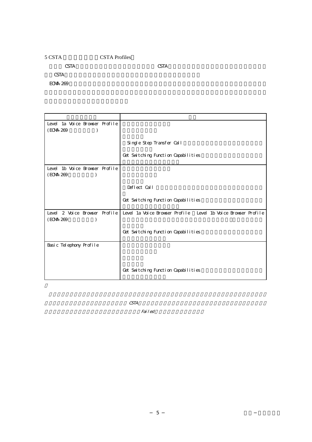## <span id="page-16-0"></span>5 CSTA 7 CSTA Profiles  $CSTA$  external contracts controlled by  $CSTA$ CSTA  $-$ ECMA-269 to the 269 to 100 to 100 to 100 to 100 to 100 to 100 to 100 to 100 to 100 to 100 to 100 to 100 to 100

プロファイル名 説明 Level 1a Voice Browser Profile  $(ECMA-269)$ Single Step Transfer Call Get Switching Function Capabilities Level 1b Voice Browser Profile  $(ECMA-269)$ Deflect Call Get Switching Function Capabilities Level 2 Voice Browser Profile Level 1a Voice Browser Profile Level 1b Voice Browser Profile  $(ECM + 269)$   $)$ Get Switching Function Capabilities Basic Telephony Profile Get Switching Function Capabilities

 $CSTA$ 

 $Fai\,leq d$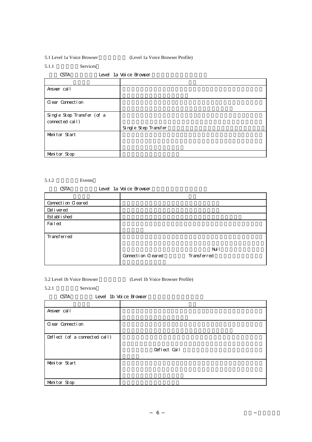<span id="page-17-0"></span>5.1 Level 1a Voice Browser (Level 1a Voice Browser Profile)

5.1.1 Services

| Level 1a Voice Browser |  |
|------------------------|--|
|------------------------|--|

| Answer call                                   |                      |
|-----------------------------------------------|----------------------|
| Clear Connection                              |                      |
| Single Step Transfer (of a<br>connected call) |                      |
|                                               | Single Step Transfer |
| Monitor Start                                 |                      |
| Monitor Stop                                  |                      |

#### $5.1.2$  Events

| <b>CSTA</b>        |  | Level 1a Voice Browser |             |
|--------------------|--|------------------------|-------------|
|                    |  |                        |             |
| Connection Cleared |  |                        |             |
| Del i vered        |  |                        |             |
| Est abl i shed     |  |                        |             |
| Failed             |  |                        |             |
|                    |  |                        |             |
| Transferred        |  |                        |             |
|                    |  |                        |             |
|                    |  |                        | Nd l        |
|                    |  | Connection Cleared     | Transferred |
|                    |  |                        |             |

5.2 Level 1b Voice Browser (Level 1b Voice Browser Profile)

5.2.1 Services

| <b>CSTA</b>                   | Level 1b Voice Browser |
|-------------------------------|------------------------|
|                               |                        |
| Answer call                   |                        |
| Clear Connection              |                        |
| Deflect (of a connected call) |                        |
|                               | Deflect Call           |
| Monitor Start                 |                        |
| Monitor Stop                  |                        |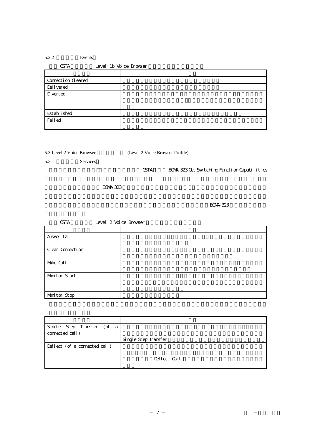### <span id="page-18-0"></span> $5.2.2$  Events

| <b>CSTA</b>        | Level 1b Voice Browser |
|--------------------|------------------------|
|                    |                        |
| Connection Cleared |                        |
| Del i vered        |                        |
| D verted           |                        |
|                    |                        |
|                    |                        |
| Est abl i shed     |                        |
| Failed             |                        |
|                    |                        |

5.3.1 Services

5.3 Level 2 Voice Browser (Level 2 Voice Browser Profile)

CSTA ECMA-323 Get Switching Function Capabilities

 $ECAA-323$ 

 $ECAA-323$ 

| <b>CSTA</b>      | Level 2 Voice Browser |  |
|------------------|-----------------------|--|
|                  |                       |  |
| Answer Call      |                       |  |
| Clear Connection |                       |  |
| Make Call        |                       |  |
| Monitor Start    |                       |  |
| Monitor Stop     |                       |  |

| Single Step Transfer (of a<br>connected call) |                      |
|-----------------------------------------------|----------------------|
|                                               | Single Step Transfer |
| Deflect (of a connected call)                 |                      |
|                                               | Deflect Call         |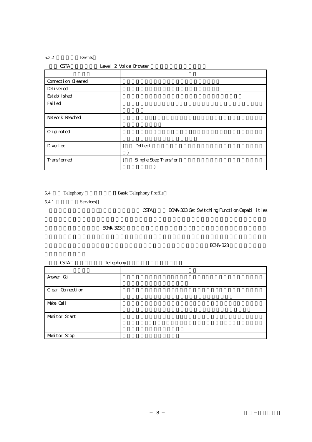### <span id="page-19-0"></span>5.3.2 Events

| <b>CSTA</b>        | Level 2 Voice Browser |
|--------------------|-----------------------|
|                    |                       |
| Connection Cleared |                       |
| Del i vered        |                       |
| Est abl i shed     |                       |
| Failed             |                       |
|                    |                       |
| Net work Reached   |                       |
|                    |                       |
| Ori gi nat ed      |                       |
|                    |                       |
| D verted           | Deflect               |
|                    |                       |
| Transferred        | Single Step Transfer  |
|                    |                       |

5.4 Telephony Basic Telephony Profile

5.4.1 Services

CSTA ECMA-323 Get Switching Function Capabilities

 $ECAA-323$ 

 $ECAA-323$ 

| <b>CSTA</b>      | Tel ephony |  |
|------------------|------------|--|
|                  |            |  |
| Answer Call      |            |  |
| Clear Connection |            |  |
| Make Call        |            |  |
| Monitor Start    |            |  |
| Monitor Stop     |            |  |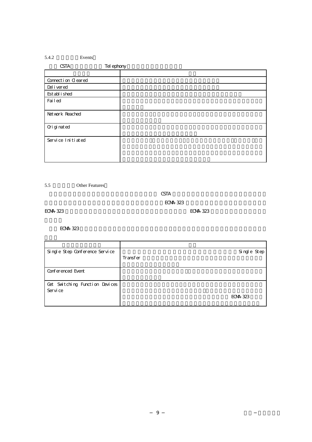### <span id="page-20-0"></span> $5.4.2$  Events

| <b>CSTA</b>        | Tel ephony |
|--------------------|------------|
|                    |            |
| Connection Cleared |            |
| Del i vered        |            |
| Est abl i shed     |            |
| Failed             |            |
| Net work Reached   |            |
| Ori gi nat ed      |            |
| Service Initiated  |            |

5.5 Other Features

 $CSTA$ 

**ECMA-323** 

ECMA-323  $\blacksquare$ 

ECMA-323

| Single Step Conference Service |          | Single Step          |
|--------------------------------|----------|----------------------|
|                                | Transfer |                      |
| Conferenced Event              |          |                      |
| Cet Switching Function Devices |          |                      |
| Servi ce                       |          |                      |
|                                |          | ECM <sub>4</sub> 323 |
|                                |          |                      |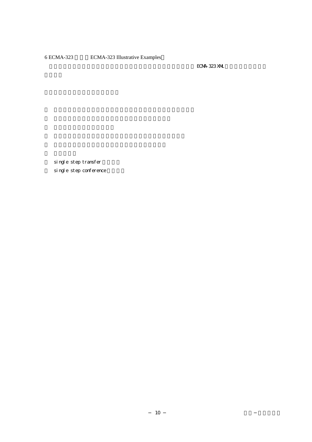## <span id="page-21-0"></span>6 ECMA-323 ECMA-323 Illustrative Examples

ECMA-323 XML

single step transfer single step conference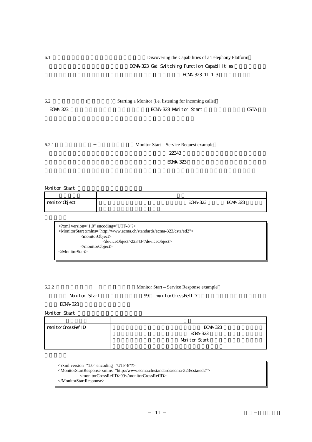## <span id="page-22-0"></span>6.1 Discovering the Capabilities of a Telephony Platform ECMA-323 Get Switching Function Capabilities ECMA-323 11.1.3

| 6.2      | Starting a Monitor (i.e. listening for incoming calls) |      |
|----------|--------------------------------------------------------|------|
| ECMA 323 | ECMA 323 Monitor Start                                 | CSTA |

| 6.2.1 | Monitor Start – Service Request example |
|-------|-----------------------------------------|
|       | 22343                                   |
|       | ECM 323                                 |

Monitor Start

| nomitorObject | ECM <sub>4</sub> 323 | ECM 323 |
|---------------|----------------------|---------|
|               |                      |         |

<?xml version="1.0" encoding="UTF-8"?> <MonitorStart xmlns="http://www.ecma.ch/standards/ecma-323/csta/ed2"> <monitorObject> <deviceObject>22343</deviceObject> </monitorObject> </MonitorStart>

| ۰, | u | ×. |
|----|---|----|

Monitor Start – Service Response example

Monitor Start 99 monitorCrossRefID

ECMA-323

Monitor Start

| nomitorCrossRefID | ECM 323       |
|-------------------|---------------|
|                   | ECM 323       |
|                   | Monitor Start |
|                   |               |

```
<?xml version="1.0" encoding="UTF-8"?>
<MonitorStartResponse xmlns="http://www.ecma.ch/standards/ecma-323/csta/ed2"> 
          <monitorCrossRefID>99</monitorCrossRefID> 
</MonitorStartResponse>
```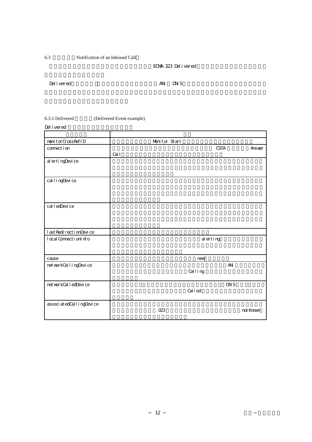<span id="page-23-0"></span>6.3 Notification of an Inbound Call

ECMA-323 Delivered

Delivered ANI DNIS

6.3.1 Delivered (Delivered Event example)

Del i vered

| nonitorCrossRefID             | Monitor Start        |           |
|-------------------------------|----------------------|-----------|
| connect i on                  | <b>CSTA</b><br>Cal l | Answer    |
| al ertingDevice               |                      |           |
| cal l i ngDevi ce             |                      |           |
| cal l edDevi ce               |                      |           |
| l ast Redi recti onDevi ce    |                      |           |
| l ocal Connecti onl nfo       | alerting             |           |
| cause                         | new                  |           |
| net workCall i ngDevi ce      | $A\!N$<br>Calling    |           |
| net workCal l edDevi ce       | DXS<br>Called        |           |
| associ at edCal l i ngDevi ce | 023                  | not Known |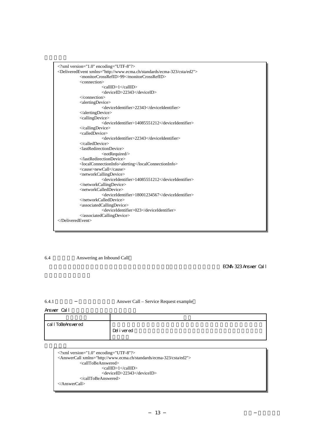<span id="page-24-0"></span>

| $\langle$ ?xml version="1.0" encoding="UTF-8"?>                                          |
|------------------------------------------------------------------------------------------|
| <deliveredevent xmlns="http://www.ecma.ch/standards/ecma-323/csta/ed2"></deliveredevent> |
| <monitorcrossrefid>99</monitorcrossrefid>                                                |
| <connection></connection>                                                                |
| <callid>1</callid>                                                                       |
| <deviceid>22343</deviceid>                                                               |
| $\langle$ connection $>$                                                                 |
| <alertingdevice></alertingdevice>                                                        |
| <deviceidentifier>22343</deviceidentifier>                                               |
| $\triangle$ alertingDevice>                                                              |
| <callingdevice></callingdevice>                                                          |
| <deviceidentifier>14085551212</deviceidentifier>                                         |
| $\langle$ calling Device $>$                                                             |
| <calleddevice></calleddevice>                                                            |
| <deviceidentifier>22343</deviceidentifier>                                               |
|                                                                                          |
| <lastredirectiondevice></lastredirectiondevice>                                          |
| <notrequired></notrequired>                                                              |
|                                                                                          |
| <localconnectioninfo>alerting</localconnectioninfo>                                      |
| <cause>newCall</cause>                                                                   |
| <networkcallingdevice></networkcallingdevice>                                            |
| <deviceidentifier>14085551212</deviceidentifier>                                         |
|                                                                                          |
| <networkcalleddevice></networkcalleddevice>                                              |
| <deviceidentifier>18001234567</deviceidentifier>                                         |
|                                                                                          |
| <associatedcallingdevice></associatedcallingdevice>                                      |
| <deviceidentifier>023</deviceidentifier>                                                 |
|                                                                                          |
|                                                                                          |
|                                                                                          |

6.4 Answering an Inbound Call

ECMA-323 Answer Call

#### 6.4.1 Answer Call – Service Request example

Answer Call

| cal l ToBeAnswered |             |
|--------------------|-------------|
|                    | Del i vered |
|                    |             |

```
<?xml version="1.0" encoding="UTF-8"?>
<AnswerCall xmlns="http://www.ecma.ch/standards/ecma-323/csta/ed2"> 
           <callToBeAnswered> 
                      <callID>1</callID>
                      <deviceID>22343</deviceID> 
           </callToBeAnswered> 
</AnswerCall>
```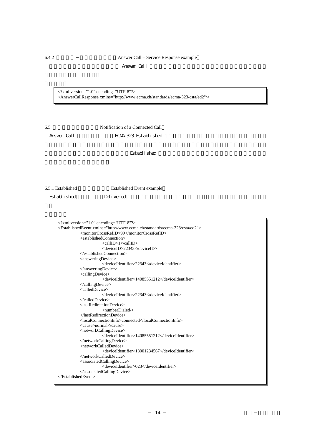<span id="page-25-0"></span>6.4.2 Answer Call – Service Response example Answer Call

<?xml version="1.0" encoding="UTF-8"?> <AnswerCallResponse xmlns="http://www.ecma.ch/standards/ecma-323/csta/ed2"/>

6.5 接続された呼の通知(Notification of a Connected Call

Answer Call **ECMA-323** Established

Established

6.5.1 Established Event example

Established Delivered

<?xml version="1.0" encoding="UTF-8"?> <EstablishedEvent xmlns="http://www.ecma.ch/standards/ecma-323/csta/ed2"> <monitorCrossRefID>99</monitorCrossRefID> <establishedConnection> <callID>1</callID> <deviceID>22343</deviceID> </establishedConnection> <answeringDevice> <deviceIdentifier>22343</deviceIdentifier> </answeringDevice> <callingDevice> <deviceIdentifier>14085551212</deviceIdentifier> </callingDevice> <calledDevice> <deviceIdentifier>22343</deviceIdentifier> </calledDevice> <lastRedirectionDevice> <numberDialed/> </lastRedirectionDevice> <localConnectionInfo>connected</localConnectionInfo> <cause>normal</cause> <networkCallingDevice> <deviceIdentifier>14085551212</deviceIdentifier> </networkCallingDevice> <networkCalledDevice> <deviceIdentifier>18001234567</deviceIdentifier> </networkCalledDevice> <associatedCallingDevice> <deviceIdentifier>023</deviceIdentifier> </associatedCallingDevice> </EstablishedEvent>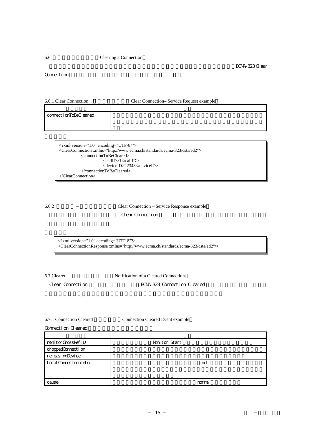#### <span id="page-26-0"></span>6.6 Clearing a Connection

Connection

6.6.1 Clear Connection Clear Connection– Service Request example

| connect i onToBeCl eared |  |
|--------------------------|--|
|                          |  |
|                          |  |

| $\langle$ -2xml version="1.0" encoding="UTF-8"?>                                           |  |  |
|--------------------------------------------------------------------------------------------|--|--|
| <clearconnection xmlns="http://www.ecma.ch/standards/ecma-323/csta/ed2"></clearconnection> |  |  |
| <connectiontobecleared></connectiontobecleared>                                            |  |  |
| <callid>1</callid>                                                                         |  |  |
| <deviceid>22343</deviceid>                                                                 |  |  |
|                                                                                            |  |  |
| $\langle$ ClearConnection>                                                                 |  |  |

6.6.2 Clear Connection – Service Response example

**Clear Connection** 

<?xml version="1.0" encoding="UTF-8"?>

<ClearConnectionResponse xmlns="http://www.ecma.ch/standards/ecma-323/csta/ed2"/>

6.7 Cleared Notification of a Cleared Connection

Clear Connection **ECMA-323** Connection Cleared

6.7.1 Connection Cleared Connection Cleared Event example

| Connection Cleared |  |
|--------------------|--|
|--------------------|--|

| nonitorCrossRefID     | Monitor Start |
|-----------------------|---------------|
| droppedConnection     |               |
| rel easi ngDevi ce    |               |
| local Connection Info | nul l         |
|                       |               |
|                       |               |
| cause                 | nornal        |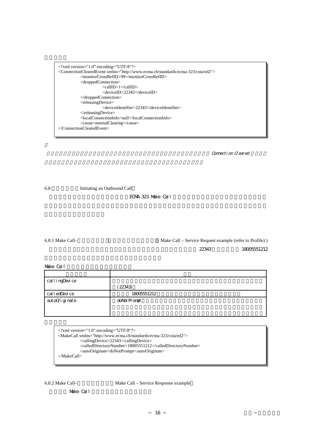<span id="page-27-0"></span>

| $\langle$ 2xml version="1.0" encoding="UTF-8"?>                                                          |
|----------------------------------------------------------------------------------------------------------|
| <connectionclearedevent xmlns="http://www.ecma.ch/standards/ecma-323/csta/ed2"></connectionclearedevent> |
| <monitorcrossrefid>99</monitorcrossrefid>                                                                |
| $\langle$ droppedConnection $\rangle$                                                                    |
| $\langle$ callID>1 $\langle$ callID>                                                                     |
| <deviceid>22343</deviceid>                                                                               |
| $\triangle$ droppedConnection                                                                            |
| <releasingdevice></releasingdevice>                                                                      |
| <deviceidentifier>22343</deviceidentifier>                                                               |
| $\langle$ releasingDevice>                                                                               |
| <localconnectioninfo>null</localconnectioninfo>                                                          |
| <cause>normalClearing</cause>                                                                            |
|                                                                                                          |

Connection Cleared

6.8 Initiating an Outbound Call

ECMA-323 Make Call

6.8.1 Make Call–
Make Call – Service Request example (refer to Profile) ) この例では、アプリケーションは(音声ブラウザ上の)デバイス識別子 22343 ら電話番号 18005551212

Make Call

| callingDevice   |              |
|-----------------|--------------|
|                 | 22343)       |
| cal l edDevi ce | 18005551212  |
| autoOriginate   | doNot Prompt |
|                 |              |
|                 |              |

<?xml version="1.0" encoding="UTF-8"?> <MakeCall xmlns="http://www.ecma.ch/standards/ecma-323/csta/ed2"> <callingDevice>22343</callingDevice> <calledDirectoryNumber>18005551212</calledDirectoryNumber> <autoOriginate>doNotPrompt</autoOriginate> </MakeCall>

6.8.2 Make Call–
Make Call – Service Response example

Make Call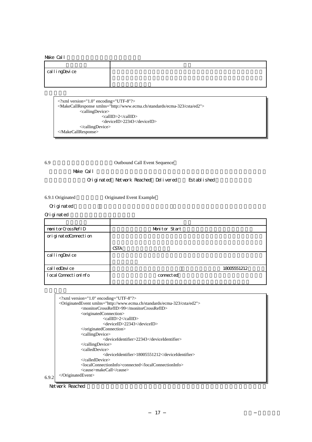#### <span id="page-28-0"></span>Make Call

## アメリカ アメリカ アメリカ アメリカ アメリカ callingDevice

<?xml version="1.0" encoding="UTF-8"?> <MakeCallResponse xmlns="http://www.ecma.ch/standards/ecma-323/csta/ed2"> <callingDevice> <callID>2</callID> <deviceID>22343</deviceID> </callingDevice> </MakeCallResponse>

6.9 Cutbound Call Event Sequence

この例は、Make Call サービス要求の結果として生成されるイベントのシーケンスを示す。このイベ

Originated Network Reached Delivered Established

6.9.1 Originated **Communist Communist Communist Communist Communist Communist Communist Communist Communist Communist Communist Communist Communist Communist Communist Communist Communist Communist Communist Communist Comm** 

Originated

Originated

| nonitorCrossRefID         | Monitor Start |
|---------------------------|---------------|
| ori gi nat edConnect i on |               |
|                           | <b>CSTA</b>   |
| callingDevice             |               |
|                           |               |
| cal l edDevi ce           | 18005551212   |
| local Connection Info     | connect ed    |

|       | $\langle$ 2xml version="1.0" encoding="UTF-8"?>                                            |
|-------|--------------------------------------------------------------------------------------------|
|       | <originatedevent xmlns="http://www.ecma.ch/standards/ecma-323/csta/ed2"></originatedevent> |
|       | <monitorcrossrefid>99</monitorcrossrefid>                                                  |
|       | <originatedconnection></originatedconnection>                                              |
|       | <callid>2</callid>                                                                         |
|       | <deviceid>22343</deviceid>                                                                 |
|       | $\langle$ originatedConnection>                                                            |
|       | <callingdevice></callingdevice>                                                            |
|       | <deviceidentifier>22343</deviceidentifier>                                                 |
|       | $\langle$ calling Device $>$                                                               |
|       | <calleddevice></calleddevice>                                                              |
|       | <deviceidentifier>18005551212</deviceidentifier>                                           |
|       |                                                                                            |
|       | <localconnectioninfo>connected</localconnectioninfo>                                       |
|       | <cause>makeCall</cause>                                                                    |
| 6.9.2 | $\langle$ OriginatedEvent>                                                                 |
|       |                                                                                            |

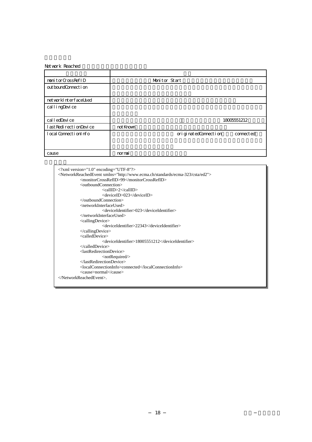#### Net work Reached

| nonitorCrossRefID              | Monitor Start |                           |             |
|--------------------------------|---------------|---------------------------|-------------|
| out boundConnect i on          |               |                           |             |
|                                |               |                           |             |
| net workInterfaceUsed          |               |                           |             |
| callingDevice                  |               |                           |             |
|                                |               |                           |             |
| cal l edDevi ce                |               |                           | 18005551212 |
| l ast RedirectionDevice        | not Known     |                           |             |
| $l$ ocal Connect i onl $n f$ o |               | ori gi nat edConnect i on | connect ed  |
|                                |               |                           |             |
|                                |               |                           |             |
| cause                          | nornal        |                           |             |

<?xml version="1.0" encoding="UTF-8"?> <NetworkReachedEvent xmlns="http://www.ecma.ch/standards/ecma-323/csta/ed2"> <monitorCrossRefID>99</monitorCrossRefID> <outboundConnection> <callID>2</callID> <deviceID>023</deviceID> </outboundConnection> <networkInterfaceUsed> <deviceIdentifier>023</deviceIdentifier> </networkInterfaceUsed> <callingDevice> <deviceIdentifier>22343</deviceIdentifier> </callingDevice> <calledDevice> <deviceIdentifier>18005551212</deviceIdentifier> </calledDevice> <lastRedirectionDevice> <notRequired/> </lastRedirectionDevice> <localConnectionInfo>connected</localConnectionInfo> <cause>normal</cause> </NetworkReachedEvent>.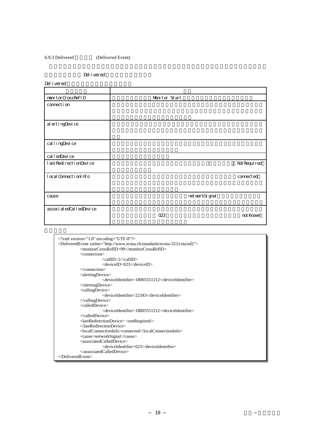#### <span id="page-30-0"></span>6.9.3 Delivered (Delivered Event)

#### Del i vered

Del i vered

| nonitorCrossRefID           | Monitor Start   |              |
|-----------------------------|-----------------|--------------|
| connection                  |                 |              |
|                             |                 |              |
| al ertingDevice             |                 |              |
|                             |                 |              |
| callingDevice               |                 |              |
| cal l edDevi ce             |                 |              |
| l ast Redi recti onDevi ce  |                 | Not Required |
| l ocal Connecti on Info     |                 | connect ed   |
|                             |                 |              |
| cause                       | net workSi gnal |              |
| associ at edCal l edDevi ce |                 |              |
|                             | 023             | not Known    |

| $\langle$ 2xml version="1.0" encoding="UTF-8"?>                                          |
|------------------------------------------------------------------------------------------|
| <deliveredevent xmlns="http://www.ecma.ch/standards/ecma-323/csta/ed2"></deliveredevent> |
| <monitorcrossrefid>99</monitorcrossrefid>                                                |
| <connection></connection>                                                                |
| <callid>2</callid>                                                                       |
| <deviceid>023</deviceid>                                                                 |
| $\langle$ /connection>                                                                   |
| $\leq$ alertingDevice $>$                                                                |
| <deviceidentifier>18005551212</deviceidentifier>                                         |
| $\triangle$ alertingDevice>                                                              |
| <callingdevice></callingdevice>                                                          |
| <deviceidentifier>22343</deviceidentifier>                                               |
| $\langle$ calling Device $>$                                                             |
| <calleddevice></calleddevice>                                                            |
| <deviceidentifier>18005551212</deviceidentifier>                                         |
| $\langle$ called Device $>$                                                              |
| $\langle$ lastRedirectionDevice> $\langle$ notRequired $\rangle$ >                       |
|                                                                                          |
| <localconnectioninfo>connected</localconnectioninfo>                                     |
| <cause>networkSignal</cause>                                                             |
| <associatedcalleddevice></associatedcalleddevice>                                        |
| <deviceidentifier>023</deviceidentifier>                                                 |
|                                                                                          |
| $\langle$ DeliveredEvent>                                                                |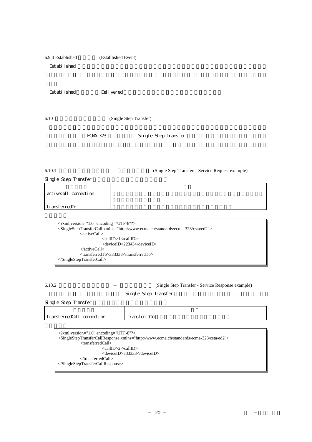<span id="page-31-0"></span>

| 6.9.4 Established | (Established Event) |  |
|-------------------|---------------------|--|
| Est abl i shed    |                     |  |

Established Delivered

6.10 (Single Step Transfer)

ECMA-323 Single Step Transfer

6.10.1 – Single Step Transfer – Service Request example)

Single Step Transfer

| activeCall connection |  |
|-----------------------|--|
| transferredTo         |  |

| $\langle$ 2xml version="1.0" encoding="UTF-8"?><br><singlesteptransfercall xmlns="http://www.ecma.ch/standards/ecma-323/csta/ed2"></singlesteptransfercall> |
|-------------------------------------------------------------------------------------------------------------------------------------------------------------|
|                                                                                                                                                             |
| $\langle$ active Call $\rangle$                                                                                                                             |
| $\langle$ callID>1 $\langle$ callID>                                                                                                                        |
| <deviceid>22343</deviceid>                                                                                                                                  |
| $\langle$ activeCall $\rangle$                                                                                                                              |
| $\langle$ transferredTo>333333 $\langle$ transferredTo>                                                                                                     |
| $\langle$ SingleStepTransferCall>                                                                                                                           |

6.10.2 (Single Step Transfer - Service Response example)

Single Step Transfer

| Single Step Transfer |  |
|----------------------|--|
|                      |  |

| transferredCall<br>connect i on | transferrdio |
|---------------------------------|--------------|

<?xml version="1.0" encoding="UTF-8"?> <SingleStepTransferCallResponse xmlns="http://www.ecma.ch/standards/ecma-323/csta/ed2"> <transferredCall> <callID>2</callID> <deviceID>333333</deviceID> </transferredCall> </SingleStepTransferCallResponse>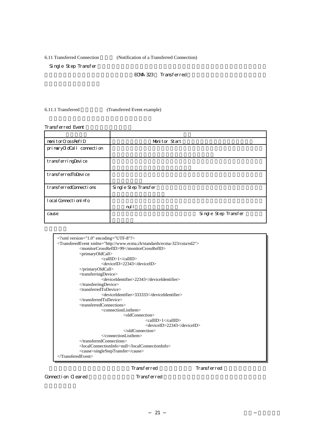<span id="page-32-0"></span>6.11 Transferred Connection (Notification of a Transferred Connection)

Single Step Transfer

ECMA-323 Transferred

6.11.1 Transferred (Transferred Event example)

Transferred Event アメリカ アメリカ アメリカ アメリカ アメリカ monitorCrossRefID Monitor Start primaryOdCall connection transferringDevice transferredToDevice transferredConnections Single Step Transfer local ConnectionInfo nul l cause Single Step Transfer

| $\langle$ ?xml version="1.0" encoding="UTF-8"?>                                            |
|--------------------------------------------------------------------------------------------|
| <transferedevent xmlns="http://www.ecma.ch/standards/ecma-323/csta/ed2"></transferedevent> |
| <monitorcrossrefid>99</monitorcrossrefid>                                                  |
| $\leq$ primaryOldCall>                                                                     |
| <callid>1</callid>                                                                         |
| <deviceid>22343</deviceid>                                                                 |
| $\langle$ primaryOldCall>                                                                  |
| <transferringdevice></transferringdevice>                                                  |
| <deviceidentifier>22343</deviceidentifier>                                                 |
|                                                                                            |
| <transferredtodevice></transferredtodevice>                                                |
| <deviceidentifier>333333</deviceidentifier>                                                |
|                                                                                            |
| <transferredconnections></transferredconnections>                                          |
| $\leq$ connectionListItem $>$                                                              |
| <oldconnection></oldconnection>                                                            |
| <callid>1</callid>                                                                         |
| <deviceid>22343</deviceid>                                                                 |
|                                                                                            |
| $\alpha$ / connection List Item                                                            |
| $\langle$ transferredConnections>                                                          |
| <localconnectioninfo>null</localconnectioninfo>                                            |
| <cause>singleStepTransfer</cause>                                                          |
| $\langle$ TransferedEvent>                                                                 |
|                                                                                            |

Transferred Transferred

Connection Cleared Transferred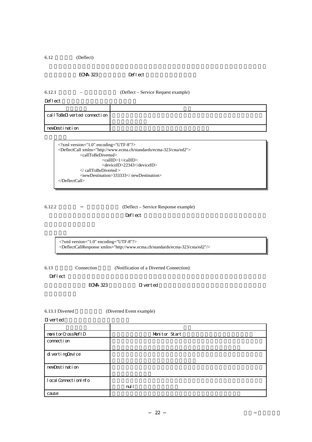<span id="page-33-0"></span>6.12 (Deflect)

ECMA-323 Deflect

6.12.1 着信転 – サービス要求例 (Deflect – Service Request example)

Deflect

| callToBeDiverted connection I |  |
|-------------------------------|--|
|                               |  |
|                               |  |
| newDestination                |  |
|                               |  |

<?xml version="1.0" encoding="UTF-8"?> <DeflectCall xmlns="http://www.ecma.ch/standards/ecma-323/csta/ed2"> <callToBeDiverted> <callID>1</callID> <deviceID>22343</deviceID> </ callToBeDiverted > <newDestination>333333</ newDestination> </DeflectCall>

## 6.12.2 (Deflect – Service Response example)

 $\rm Def$ lect the  $\rm Def$ 

<?xml version="1.0" encoding="UTF-8"?> <DeflectCallResponse xmlns="http://www.ecma.ch/standards/ecma-323/csta/ed2"/>

6.13 **Connection** (Notification of a Diverted Connection)

Deflect that the contract the state  $\mathbb{R}$  and  $\mathbb{R}$  are stated in  $\mathbb{R}$  and  $\mathbb{R}$  are stated in  $\mathbb{R}$  and  $\mathbb{R}$  are stated in  $\mathbb{R}$  and  $\mathbb{R}$  are stated in  $\mathbb{R}$  and  $\mathbb{R}$  are stated in  $\mathbb{R$ 

eCMA-323 Diverted  $\Box$  Diverted

6.13.1 Diverted (Diverted Event example)

 $\Sigma$  verted

| nonitorCrossRefID       | Monitor Start |
|-------------------------|---------------|
| connect i on            |               |
|                         |               |
| divertingDevice         |               |
|                         |               |
| newDestination          |               |
|                         |               |
| l ocal Connecti on Info |               |
|                         | nul l         |
| cause                   |               |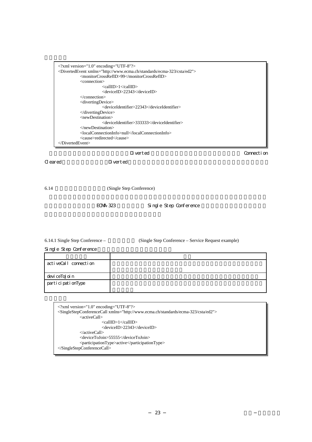<span id="page-34-0"></span>

| $\langle$ 2xml version="1.0" encoding="UTF-8"?><br><divertedevent xmlns="http://www.ecma.ch/standards/ecma-323/csta/ed2"><br/><monitorcrossrefid>99</monitorcrossrefid><br/><connection><br/><callid>1</callid><br/><deviceid>22343</deviceid><br/><math>\triangle</math>/connection&gt;<br/><divertingdevice><br/><deviceidentifier>22343</deviceidentifier></divertingdevice></connection></divertedevent> |            |
|--------------------------------------------------------------------------------------------------------------------------------------------------------------------------------------------------------------------------------------------------------------------------------------------------------------------------------------------------------------------------------------------------------------|------------|
| $\langle$ diverting Device><br>$<$ newDestination $>$<br><deviceidentifier>333333</deviceidentifier><br>$\langle$ newDestination><br><localconnectioninfo>null</localconnectioninfo><br><cause>redirected</cause><br>                                                                                                                                                                                        |            |
| D verted                                                                                                                                                                                                                                                                                                                                                                                                     | Connection |

 $\alpha$  eared  $\alpha$  are  $\alpha$  Diverted  $\alpha$ 

6.14 (Single Step Conference)

FCMA-323 Single Step Conference

6.14.1 Single Step Conference – (Single Step Conference – Service Request example)

Single Step Conference

| activeCall connection |  |
|-----------------------|--|
|                       |  |
| devi ceToJoi n        |  |
| participationType     |  |
|                       |  |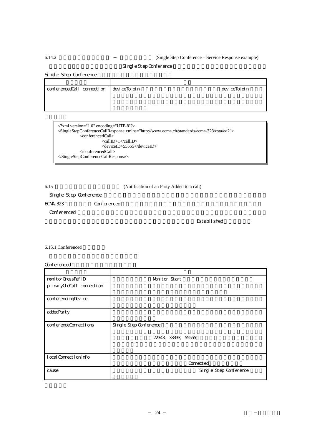#### <span id="page-35-0"></span>6.14.2 (Single Step Conference – Service Response example)

#### Single Step Conference

Single Step Conference

| conferencedCall connection deviceToJoin | devi ceToJoi n |
|-----------------------------------------|----------------|
|                                         |                |
|                                         |                |

<?xml version="1.0" encoding="UTF-8"?> <SingleStepConferenceCallResponse xmlns="http://www.ecma.ch/standards/ecma-323/csta/ed2"> <conferencedCall> <callID>1</callID> <deviceID>55555</deviceID>  $<$ /conferencedCall> </SingleStepConferenceCallResponse>

6.15 (Notification of an Party Added to a call)

Single Step Conference

ECMA-323 Conferenced

Conferenced

Est abl i shed

6.15.1 Conferenced

Conferenced

| nonitorCrossRefID        | Monitor Start          |  |  |  |
|--------------------------|------------------------|--|--|--|
| prinaryOdCall connection |                        |  |  |  |
| conferenci ngDevi ce     |                        |  |  |  |
| addedParty               |                        |  |  |  |
| conferenceConnections    | Single Step Conference |  |  |  |
|                          | 22343 33333 55555      |  |  |  |
| l ocal Connecti on Info  | Connect ed             |  |  |  |
| cause                    | Single Step Conference |  |  |  |

24 TR-18057 (1995) 124 TR-18057 (1995) 124 TR-18057 (1995) 124 TR-18057 (1995) 124 TR-18057 (1995) 125 TR-1805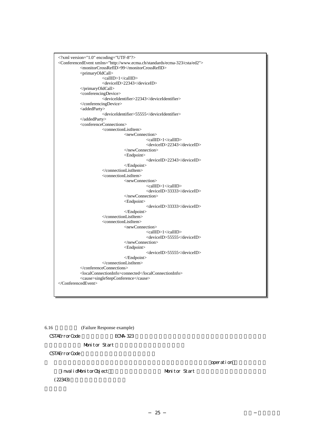```
<?xml version="1.0" encoding="UTF-8"?>
<ConferencedEvent xmlns="http://www.ecma.ch/standards/ecma-323/csta/ed2"> 
           <monitorCrossRefID>99</monitorCrossRefID> 
           <primaryOldCall> 
                      <callID>1</callID>
                      <deviceID>22343</deviceID> 
           </primaryOldCall> 
           <conferencingDevice> 
                      <deviceIdentifier>22343</deviceIdentifier> 
           </conferencingDevice> 
           <addedParty>
                      <deviceIdentifier>55555</deviceIdentifier> 
           </addedParty> 
           <conferenceConnections> 
                      <connectionListItem> 
                                 <newConnection>
                                             <callID>1</callID>
                                             <deviceID>22343</deviceID> 
                                  </newConnection>
                                  <Endpoint> 
                                             <deviceID>22343</deviceID> 
                                  </Endpoint> 
                      </connectionListItem> 
                      <connectionListItem> 
                                 <newConnection>
                                             <callID>1</callID>
                                             <deviceID>33333</deviceID> 
                                  </newConnection>
                                  <Endpoint> 
                                             <deviceID>33333</deviceID> 
                                 </Endpoint> 
                      </connectionListItem> 
                      <connectionListItem> 
                                  <newConnection>
                                             <callID>1</callID>
                                             <deviceID>55555</deviceID> 
                                  </newConnection>
                                  <Endpoint> 
                                             <deviceID>55555</deviceID> 
                                  </Endpoint> 
                      </connectionListItem> 
           </conferenceConnections> 
           <localConnectionInfo>connected</localConnectionInfo> 
           <cause>singleStepConference</cause> 
</ConferencedEvent>
```
6.16 (Failure Response example) CSTAErrorCode ECMA-323 Monitor Start CSTAErrorCode

invalidMonitorObject Monitor Start  $(22343)$ 

operation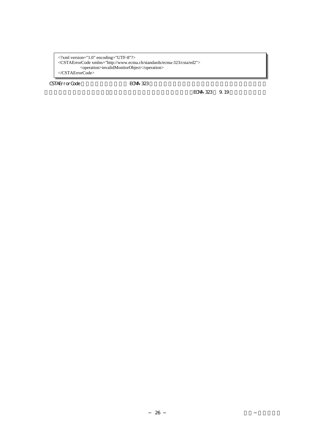<?xml version="1.0" encoding="UTF-8"?> <CSTAErrorCode xmlns="http://www.ecma.ch/standards/ecma-323/csta/ed2"> <operation>invalidMonitorObject</operation> </CSTAErrorCode>

CSTAErrorCode ECMA-323

ECMA-323 9.19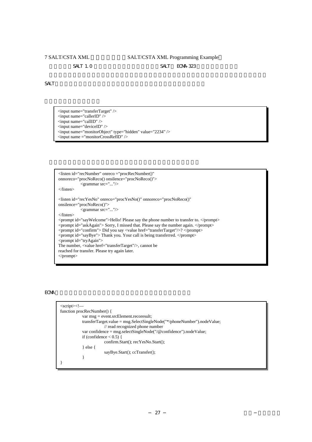### <span id="page-38-0"></span>7 SALT/CSTA XML SALT/CSTA XML Programming Example  $SALT$  1.0  $SALT$  ECMA-323

 $S\!AT$ 

<input name="transferTarget" />  $\leq$ input name="callerID"  $\geq$  $\langle$ input name="callID"  $\rangle$  $\leq$ input name="deviceID"  $\geq$ <input name="monitorObject" type="hidden" value="2234" />  $\langle$ input name ="monitorCrossRefID"  $\rangle$ 



#### ECMA  $\overline{C}$

| $\langle$ script $\rangle$                                                |  |  |  |  |
|---------------------------------------------------------------------------|--|--|--|--|
| function procRecNumber() {                                                |  |  |  |  |
| $var msg = event.srcElement.recoresult;$                                  |  |  |  |  |
| transferTarget.value = $msg.SelectSingleNode("*/phoneNumber").nodeValue;$ |  |  |  |  |
| $\mathcal{U}$ read recognized phone number                                |  |  |  |  |
| var confidence = $msg.selectSingleNode("/@confidence").nodeValue;$        |  |  |  |  |
| if (confidence $< 0.5$ ) {                                                |  |  |  |  |
| confirm.Start(); recYesNo.Start();                                        |  |  |  |  |
| $\}$ else $\{$                                                            |  |  |  |  |
| $sayBye.St(.)$ ; ccTransfer();                                            |  |  |  |  |
|                                                                           |  |  |  |  |
|                                                                           |  |  |  |  |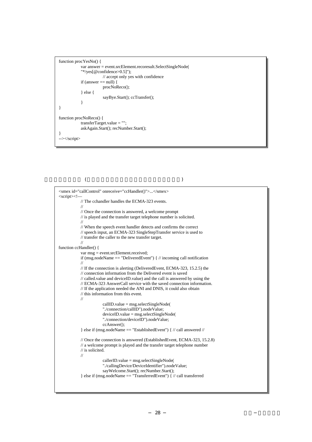```
function procYesNo() { 
            var answer = event.srcElement.recoresult.SelectSingleNode( 
             "*/yes[@confidence>0.5]"); 
                        // accept only yes with confidence
            if (answer == null) {
                         procNoReco(); 
             } else { 
                         sayBye.Start(); ccTransfer();
             } 
} 
function procNoReco() { 
            transferTarget.value = ""; 
            askAgain.Start(); recNumber.Start(); 
} 
--></script>
```
呼制御セクション (場面やダイアログ・ロジックに影響されない)

```
<smex id="callControl" onreceive="ccHandler()">...</smex> 
<script><!— 
            // The cchandler handles the ECMA-323 events. 
            // 
            // Once the connection is answered, a welcome prompt 
            // is played and the transfer target telephone number is solicited. 
            // 
            // When the speech event handler detects and confirms the correct 
            // speech input, an ECMA-323 SingleStepTransfer service is used to 
            // transfer the caller to the new transfer target.
            // 
function ccHandler() { 
            var msg = event.srcElement.received; 
            if (msg.nodeName == "DeliveredEvent") { // incoming call notification
            // 
            // If the connection is alerting (DeliveredEvent, ECMA-323, 15.2.5) the 
            // connection information from the Delivered event is saved 
            // called.value and deviceID.value) and the call is answered by using the 
            // ECMA-323 AnswerCall service with the saved connection information.
            // If the application needed the ANI and DNIS, it could also obtain 
            // this information from this event.
            // 
                         callID.value = msg.sleepctSingleNode()"./connection/callID").nodeValue; 
                        deviceID.value = msg.electSingleNode("./connection/deviceID").nodeValue; 
                        ccAnswer(); 
            } else if (msg.nodeName == "EstablishedEvent") { // call answered // 
            // Once the connection is answered (EstablishedEvent, ECMA-323, 15.2.8) 
            // a welcome prompt is played and the transfer target telephone number 
            // is solicited.
            // 
                         callerID.value = msg.selectSingleNode( 
                         "./callingDevice/DeviceIdentifier").nodeValue; 
                         sayWelcome.Start(); recNumber.Start();
            } else if (msg.nodeName == "TransferredEvent") { \frac{1}{2} call transferred
```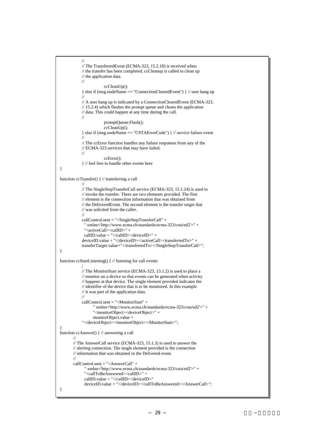```
// 
            // The TransferredEvent (ECMA-323, 15.2.18) is received when
            // the transfer has been completed. ccCleanup is called to clean up
            // the application data.
            // 
                         ccCleanUp(); 
            } else if (msg.nodeName == "ConnectionClearedEvent") { // user hang up 
            // 
            // A user hang up is indicated by a ConnectionClearedEvent (ECMA-323, 
            // 15.2.4) which flushes the prompt queue and cleans the application 
            // data. This could happen at any time during the call. 
            // 
                         promptQueue.Flush(); 
                        ccCleanUp(); 
            } else if (msg.nodeName == "CSTAErrorCode") { // service failure event 
            // 
            // The ccError function handles any failure responses from any of the
            // ECMA-323 services that may have failed. 
            // 
                        ccError(); 
            } // feel free to handle other events here 
} 
function ccTransfer() { // transferring a call 
            // 
            // The SingleStepTransferCall service (ECMA-323, 15.1.24) is used to
            // invoke the transfer. There are two elements provided. The first 
            // element is the connection information that was obtained from 
            // the DeliveredEvent. The second element is the transfer target that 
            // was solicited from the caller.
            // 
            callControl.sent = "<SingleStepTransferCall" + 
              " xmlns='http://www.ecma.ch/standards/ecma-323/csta/ed2'>" + 
             "<activeCall><callID>" +
             callID.value + "</callID><deviceID>" + 
            deviceID.value + "</deviceID></activeCall><transferredTo>" + 
             transferTarget.value+"</transferredTo></SingleStepTransferCall>"; 
} 
function ccStartListening() { // listening for call events 
 / 
            // The MonitorStart service (ECMA-323, 13.1.2) is used to place a 
            // monitor on a device so that events can be generated when activity 
            // happens at that device. The single element provided indicates the 
            // identifier of the device that is to be monitored. In this example 
            // it was part of the application data.
            // 
            callControl.sent = "<MonitorStart" + 
                    " xmlns='http://www.ecma.ch/standards/ecma-323/csta/ed2'>" + 
                   "<monitorObject><deviceObject>" + 
                   monitorObject.value + 
            "</deviceObject></monitorObject></MonitorStart>"; 
}
function ccAnswer() { // answering a call 
        // 
        // The AnswerCall service (ECMA-323, 15.1.3) is used to answer the 
        // alerting connection. The single element provided is the connection 
        // information that was obtained in the Delivered event.
        // 
        callControl.sent = "<AnswerCall" + 
               " xmlns='http://www.ecma.ch/standards/ecma-323/csta/ed2'>" + 
               "<callToBeAnswered><callID>" +
              callID.value + "</callID><deviceID>" 
              deviceID.value + "</deviceID></callToBeAnswered></AnswerCall>"; 
}
```

```
29 TR-18057 TR-18057 TR-18057 TR-18057 TR-18057 TR-18057 TR-18057 TR-18057 TR-18057 TR-18057 TR-1805
```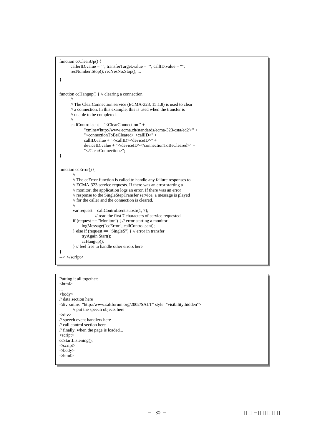```
function ccCleanUp() { 
      callerID.value = ""; transferTarget.value = ""; callID.value = "";
       recNumber.Stop(); recYesNo.Stop(); ... 
} 
function ccHangup() { // clearing a connection 
       // 
      // The ClearConnection service (ECMA-323, 15.1.8) is used to clear 
      // a connection. In this example, this is used when the transfer is 
       // unable to be completed.
       // 
       callControl.sent = "<ClearConnection " + 
               "xmlns='http://www.ecma.ch/standards/ecma-323/csta/ed2'>" + 
               "<connectionToBeCleared> <callID>" + 
               callID.value + "</callID><deviceID>" + 
               deviceID.value + "</deviceID></connectionToBeCleared>" + 
               "</ClearConnection>"; 
}
function ccError() {
        // 
       // The ccError function is called to handle any failure responses to 
       // ECMA-323 service requests. If there was an error starting a 
        // monitor, the application logs an error. If there was an error 
       // response to the SingleStepTransfer service, a message is played 
       // for the caller and the connection is cleared. 
        // 
       var request = callControl.sent.substr(1, 7);
                     // read the first 7 characters of service requested 
        if (request == "Monitor") { // error starting a monitor
              logMessage("ccError", callControl.sent); 
        } else if (request == "SingleS") { // error in transfer 
             tryAgain.Start(); 
             ccHangup(); 
        } // feel free to handle other errors here 
} 
--> </script>
```

```
Putting it all together: 
<html> 
... 
<body> 
// data section here
<div xmlns="http://www.saltforum.org/2002/SALT" style="visibility:hidden"> 
         // put the speech objects here 
\langlediv>// speech event handlers here 
// call control section here 
// finally, when the page is loaded... 
<script> 
ccStartListening(); 
</script> 
</body> 
</html>
```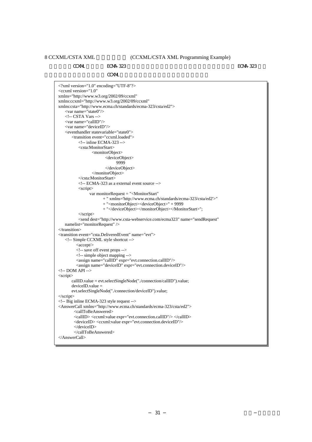<span id="page-42-0"></span>

 $\alpha$  CXML ECMA-323  $\alpha$  ECMA-323  $\alpha$ 

CCXML

<?xml version="1.0" encoding="UTF-8"?> <ccxml version="1.0" xmlns="http://www.w3.org/2002/09/ccxml" xmlns:ccxml="http://www.w3.org/2002/09/ccxml" xmlns:csta="http://www.ecma.ch/standards/ecma-323/csta/ed2"> <var name="state0"/> <!-- CSTA Vars --> <var name="callID"/> <var name="deviceID"/> <eventhandler statevariable="state0"> <transition event="ccxml.loaded"> <!-- inline ECMA-323 --> <csta:MonitorStart> <monitorObject> <deviceObject> 9999 </deviceObject> </monitorObject> </csta:MonitorStart> <!-- ECMA-323 as a external event source --> <script> var monitorRequest = "<MonitorStart" + " xmlns='http://www.ecma.ch/standards/ecma-323/csta/ed2'>" + "<monitorObject><deviceObject>" + 9999 + "</deviceObject></monitorObject></MonitorStart>"; </script> <send dest="http://www.csta-webservice.com/ecma323" name="sendRequest" namelist="monitorRequest" /> </transition> <transition event="csta.DeliveredEvent" name="evt"> <!-- Simple CCXML style shortcut -->  $\langle accept \rangle$  <!-- save off event props --> <!-- simple object mapping --> <assign name="callID" expr="evt.connection.callID"/> <assign name="deviceID" expr="evt.connection.deviceID"/> <!-- DOM API --> <script> callID.value = evt.selectSingleNode("./connection/callID").value;  $deviceID.value =$  evt.selectSingleNode("./connection/deviceID").value; </script> <!-- Big inline ECMA-323 style request --> <AnswerCall xmlns="http://www.ecma.ch/standards/ecma-323/csta/ed2"> <callToBeAnswered> <callID> <ccxml:value expr="evt.connection.callID"/> </callID> <deviceID> <ccxml:value expr="evt.connection.deviceID"/> </deviceID> </callToBeAnswered> </AnswerCall>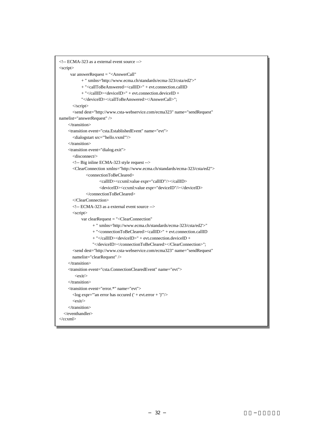```
<!-- ECMA-323 as a external event source --> 
<script> 
       var answerRequest = "<AnswerCall" 
             + " xmlns='http://www.ecma.ch/standards/ecma-323/csta/ed2'>" 
             + "<callToBeAnswered><callID>" + evt.connection.callID 
             + "</callID><deviceID>" + evt.connection.deviceID + 
             "</deviceID></callToBeAnswered></AnswerCall>";
        </script> 
        <send dest="http://www.csta-webservice.com/ecma323" name="sendRequest" 
namelist="answerRequest" /> 
      </transition>
      <transition event="csta.EstablishedEvent" name="evt"> 
        <dialogstart src="'hello.vxml'"/> 
      </transition> 
      <transition event="dialog.exit"> 
        <disconnect/>
        <!-- Big inline ECMA-323 style request --> 
        <ClearConnection xmlns="http://www.ecma.ch/standards/ecma-323/csta/ed2"> 
                <connectionToBeCleared> 
                       <callID><ccxml:value expr="callID"/></callID> 
                       <deviceID><ccxml:value expr="deviceID"/></deviceID> 
                </connectionToBeCleared> 
        </ClearConnection>
        <!-- ECMA-323 as a external event source --> 
        <script>
             var clearRequest = "<ClearConnection"
                    + " xmlns='http://www.ecma.ch/standards/ecma-323/csta/ed2'>" 
                    + "<connectionToBeCleared><callID>" + evt.connection.callID 
                    + "</callID><deviceID>" + evt.connection.deviceID + 
                    "</deviceID></connectionToBeCleared></ClearConnection>"; 
        <send dest="http://www.csta-webservice.com/ecma323" name="sendRequest" 
        namelist="clearRequest" /> 
      </transition>
      <transition event="csta.ConnectionClearedEvent" name="evt"> 
         \langle \text{exit} \rangle\angle/transition\sim <transition event="error.*" name="evt"> 
       <log expr="'an error has occured (' + evt.error + ')'"/> 
       \langleexit/ </transition> 
   </eventhandler> 
\langle c \text{cxml}\rangle
```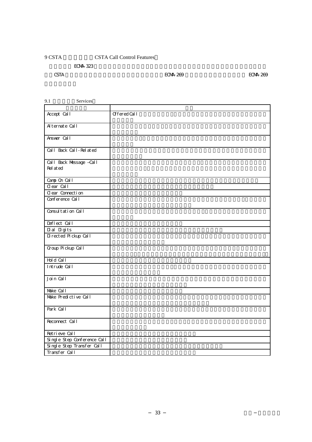### <span id="page-44-0"></span>9 CSTA Call Control Features

ECMA-323

 $\text{CSTA}$  external problems with the ECMA-269  $\text{ECAA-269}$   $\text{ECAA-268}$ 

| Services<br>9.1                     |                    |
|-------------------------------------|--------------------|
|                                     |                    |
| Accept Call                         | <b>OfferedCall</b> |
| Alternate Call                      |                    |
| Answer Call                         |                    |
| Cal I Back Cal I - Rel at ed        |                    |
| Call Back Message Call<br>Rel at ed |                    |
| Camp On Call                        |                    |
| $Q$ ear $\overline{Cal}$            |                    |
| Clear Connection                    |                    |
| Conference Call                     |                    |
| Consultation Call                   |                    |
| Deflect Call                        |                    |
| Dial Digits                         |                    |
| Directed Pickup Call                |                    |
| Group Pickup Call                   |                    |
| Hold Call                           |                    |
| Intrude Call                        |                    |
| Join Call                           |                    |
| Make Call                           |                    |
| Make Predictive Call                |                    |
| Park Call                           |                    |
| Reconnect Call                      |                    |
| Retrieve Call                       |                    |
| Single Step Conference Call         |                    |
| Single Step Transfer Call           |                    |
| Transfer Call                       |                    |